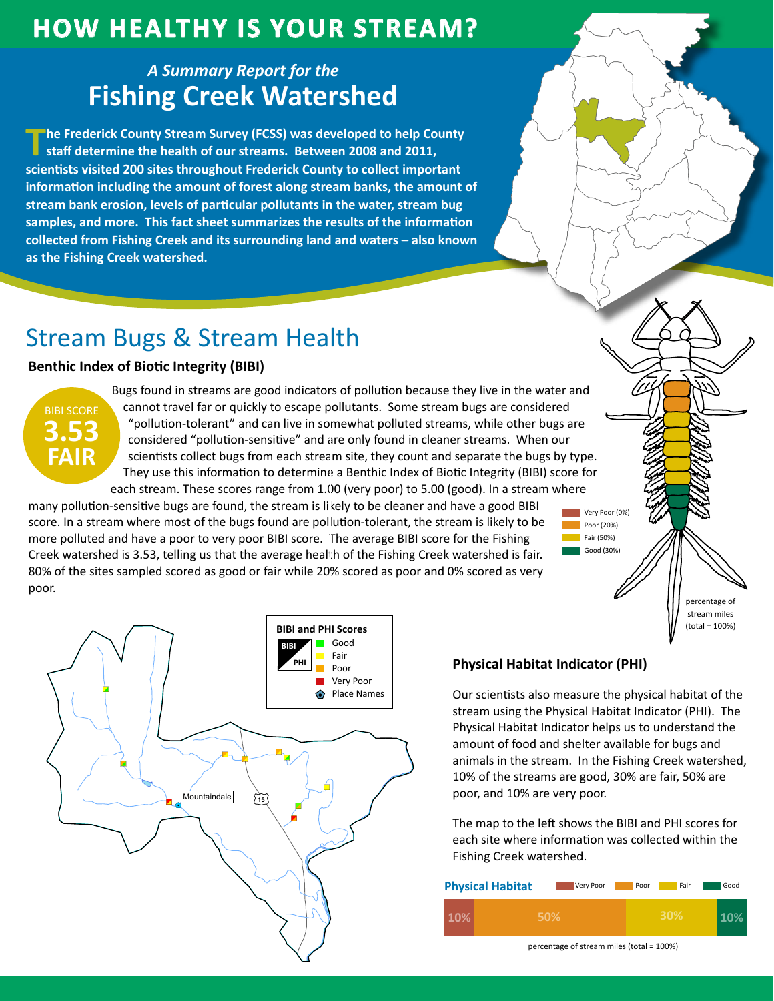## **How HealtHy is Your Stream?**

### *A Summary Report for the* **Fishing Creek Watershed**

**The Frederick County Stream Survey (FCSS) was developed to help County staff determine the health of our streams. Between 2008 and 2011, scientists visited 200 sites throughout Frederick County to collect important information including the amount of forest along stream banks, the amount of stream bank erosion, levels of particular pollutants in the water, stream bug samples, and more. This fact sheet summarizes the results of the information collected from Fishing Creek and its surrounding land and waters – also known as the Fishing Creek watershed.**

# Stream Bugs & Stream Health

### **Benthic Index of Biotic Integrity (BIBI)**



Bugs found in streams are good indicators of pollution because they live in the water and cannot travel far or quickly to escape pollutants. Some stream bugs are considered "pollution-tolerant" and can live in somewhat polluted streams, while other bugs are considered "pollution-sensitive" and are only found in cleaner streams. When our scientists collect bugs from each stream site, they count and separate the bugs by type. They use this information to determine a Benthic Index of Biotic Integrity (BIBI) score for each stream. These scores range from 1.00 (very poor) to 5.00 (good). In a stream where

many pollution-sensitive bugs are found, the stream is likely to be cleaner and have a good BIBI score. In a stream where most of the bugs found are pollution-tolerant, the stream is likely to be more polluted and have a poor to very poor BIBI score. The average BIBI score for the Fishing Creek watershed is 3.53, telling us that the average health of the Fishing Creek watershed is fair. 80% of the sites sampled scored as good or fair while 20% scored as poor and 0% scored as very ) poor.





#### **Physical Habitat Indicator (PHI)**

Our scientists also measure the physical habitat of the stream using the Physical Habitat Indicator (PHI). The Physical Habitat Indicator helps us to understand the amount of food and shelter available for bugs and animals in the stream. In the Fishing Creek watershed, 10% of the streams are good, 30% are fair, 50% are poor, and 10% are very poor.

The map to the left shows the BIBI and PHI scores for each site where information was collected within the Fishing Creek watershed.

| <b>Physical Habitat</b> | Very Poor | Poor | Fair | Good |
|-------------------------|-----------|------|------|------|
|                         | 50%       |      | 30%  |      |

percentage of stream miles (total = 100%)